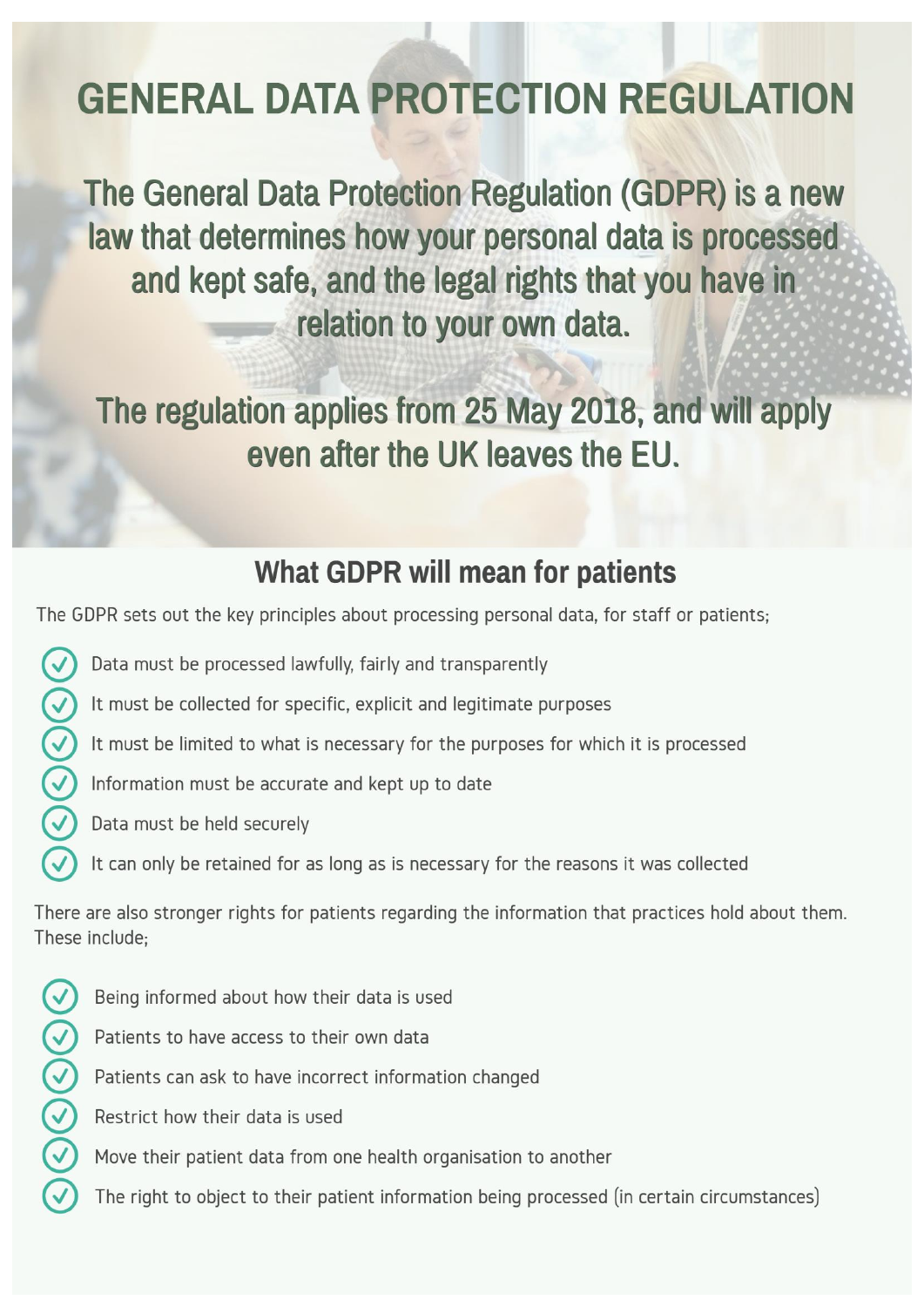# **GENERAL DATA PROTECTION REGULATION**

The General Data Protection Regulation (GDPR) is a new law that determines how your personal data is processed and kept safe, and the legal rights that you have in relation to your own data.

The regulation applies from 25 May 2018, and will apply even after the UK leaves the EU.

## **What GDPR will mean for patients**

The GDPR sets out the key principles about processing personal data, for staff or patients;

- Data must be processed lawfully, fairly and transparently
- It must be collected for specific, explicit and legitimate purposes
- $\widetilde{\left( \zeta \right)} (\zeta)$ It must be limited to what is necessary for the purposes for which it is processed
	- Information must be accurate and kept up to date
	- Data must be held securely
		- It can only be retained for as long as is necessary for the reasons it was collected

There are also stronger rights for patients regarding the information that practices hold about them. These include:

- $\Im\Theta$  $\Theta$  $\Theta$  $\epsilon$ Being informed about how their data is used
	- Patients to have access to their own data
	- Patients can ask to have incorrect information changed
	- Restrict how their data is used
	- Move their patient data from one health organisation to another
	- The right to object to their patient information being processed (in certain circumstances)